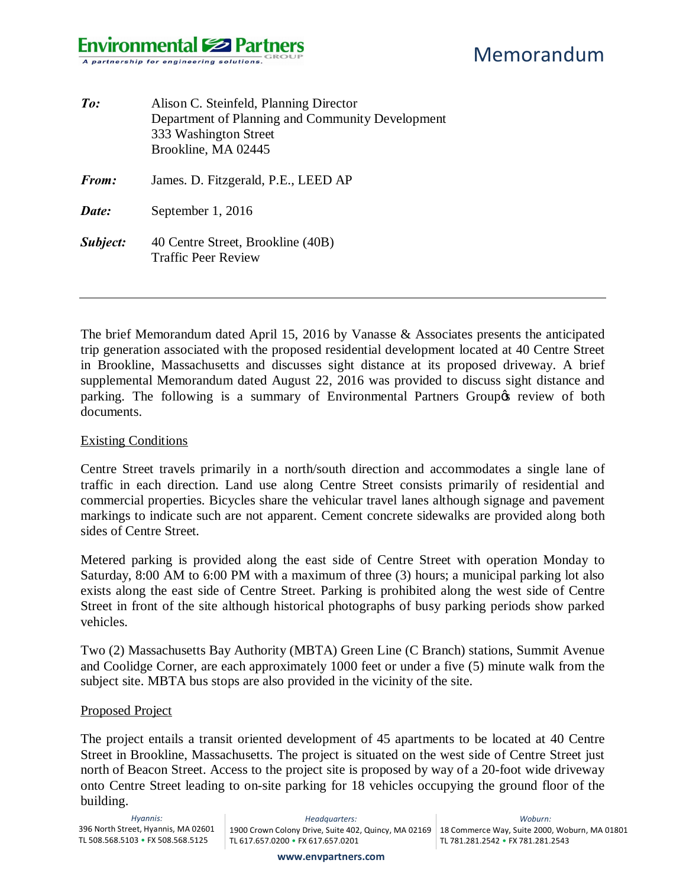### **Environmental Solutions** A partnership for engineering solutions.

| $\mathit{To:}$ | Alison C. Steinfeld, Planning Director<br>Department of Planning and Community Development<br>333 Washington Street<br>Brookline, MA 02445 |
|----------------|--------------------------------------------------------------------------------------------------------------------------------------------|
| From:          | James. D. Fitzgerald, P.E., LEED AP                                                                                                        |
| Date:          | September 1, 2016                                                                                                                          |
| Subject:       | 40 Centre Street, Brookline (40B)<br><b>Traffic Peer Review</b>                                                                            |

The brief Memorandum dated April 15, 2016 by Vanasse & Associates presents the anticipated trip generation associated with the proposed residential development located at 40 Centre Street in Brookline, Massachusetts and discusses sight distance at its proposed driveway. A brief supplemental Memorandum dated August 22, 2016 was provided to discuss sight distance and parking. The following is a summary of Environmental Partners Group t review of both documents.

#### Existing Conditions

Centre Street travels primarily in a north/south direction and accommodates a single lane of traffic in each direction. Land use along Centre Street consists primarily of residential and commercial properties. Bicycles share the vehicular travel lanes although signage and pavement markings to indicate such are not apparent. Cement concrete sidewalks are provided along both sides of Centre Street.

Metered parking is provided along the east side of Centre Street with operation Monday to Saturday, 8:00 AM to 6:00 PM with a maximum of three (3) hours; a municipal parking lot also exists along the east side of Centre Street. Parking is prohibited along the west side of Centre Street in front of the site although historical photographs of busy parking periods show parked vehicles.

Two (2) Massachusetts Bay Authority (MBTA) Green Line (C Branch) stations, Summit Avenue and Coolidge Corner, are each approximately 1000 feet or under a five (5) minute walk from the subject site. MBTA bus stops are also provided in the vicinity of the site.

#### Proposed Project

The project entails a transit oriented development of 45 apartments to be located at 40 Centre Street in Brookline, Massachusetts. The project is situated on the west side of Centre Street just north of Beacon Street. Access to the project site is proposed by way of a 20-foot wide driveway onto Centre Street leading to on-site parking for 18 vehicles occupying the ground floor of the building.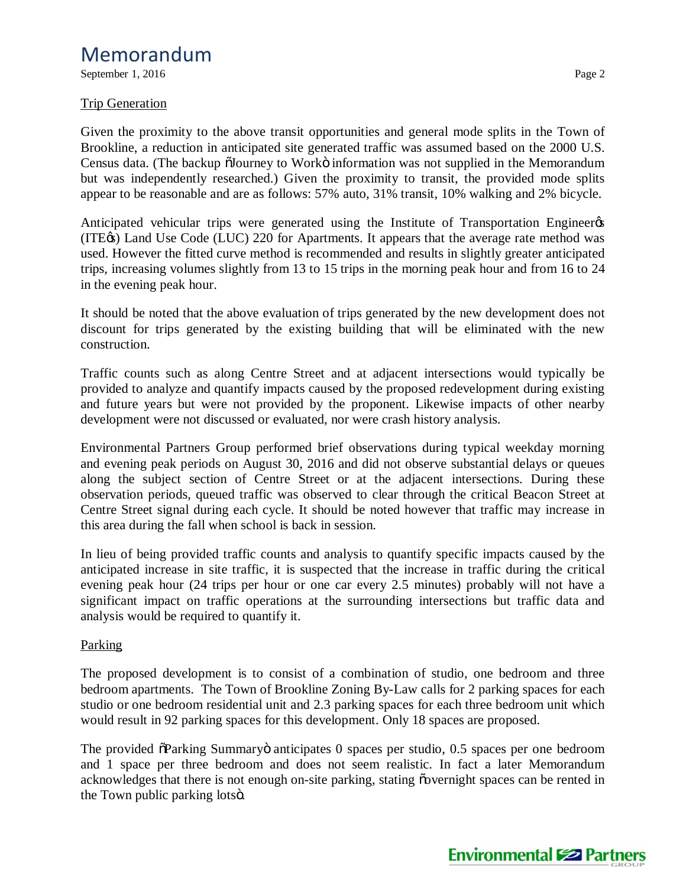September 1, 2016 Page 2

### Trip Generation

Given the proximity to the above transit opportunities and general mode splits in the Town of Brookline, a reduction in anticipated site generated traffic was assumed based on the 2000 U.S. Census data. (The backup  $\tilde{O}$ Journey to Workö information was not supplied in the Memorandum but was independently researched.) Given the proximity to transit, the provided mode splits appear to be reasonable and are as follows: 57% auto, 31% transit, 10% walking and 2% bicycle.

Anticipated vehicular trips were generated using the Institute of Transportation Engineer<sub>os</sub> (ITE $\circ$ ) Land Use Code (LUC) 220 for Apartments. It appears that the average rate method was used. However the fitted curve method is recommended and results in slightly greater anticipated trips, increasing volumes slightly from 13 to 15 trips in the morning peak hour and from 16 to 24 in the evening peak hour.

It should be noted that the above evaluation of trips generated by the new development does not discount for trips generated by the existing building that will be eliminated with the new construction.

Traffic counts such as along Centre Street and at adjacent intersections would typically be provided to analyze and quantify impacts caused by the proposed redevelopment during existing and future years but were not provided by the proponent. Likewise impacts of other nearby development were not discussed or evaluated, nor were crash history analysis.

Environmental Partners Group performed brief observations during typical weekday morning and evening peak periods on August 30, 2016 and did not observe substantial delays or queues along the subject section of Centre Street or at the adjacent intersections. During these observation periods, queued traffic was observed to clear through the critical Beacon Street at Centre Street signal during each cycle. It should be noted however that traffic may increase in this area during the fall when school is back in session.

In lieu of being provided traffic counts and analysis to quantify specific impacts caused by the anticipated increase in site traffic, it is suspected that the increase in traffic during the critical evening peak hour (24 trips per hour or one car every 2.5 minutes) probably will not have a significant impact on traffic operations at the surrounding intersections but traffic data and analysis would be required to quantify it.

### **Parking**

The proposed development is to consist of a combination of studio, one bedroom and three bedroom apartments. The Town of Brookline Zoning By-Law calls for 2 parking spaces for each studio or one bedroom residential unit and 2.3 parking spaces for each three bedroom unit which would result in 92 parking spaces for this development. Only 18 spaces are proposed.

The provided  $\delta$ Parking Summaryö anticipates 0 spaces per studio, 0.5 spaces per one bedroom and 1 space per three bedroom and does not seem realistic. In fact a later Memorandum acknowledges that there is not enough on-site parking, stating  $\tilde{\text{o}}$  overnight spaces can be rented in the Town public parking lotsö.

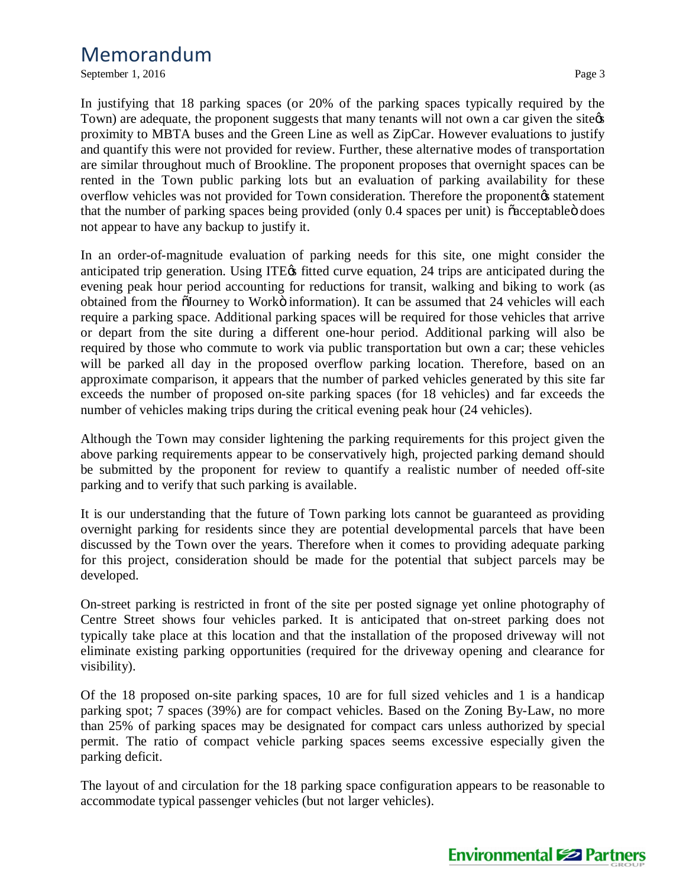September 1, 2016 Page 3

In justifying that 18 parking spaces (or 20% of the parking spaces typically required by the Town) are adequate, the proponent suggests that many tenants will not own a car given the site proximity to MBTA buses and the Green Line as well as ZipCar. However evaluations to justify and quantify this were not provided for review. Further, these alternative modes of transportation are similar throughout much of Brookline. The proponent proposes that overnight spaces can be rented in the Town public parking lots but an evaluation of parking availability for these overflow vehicles was not provided for Town consideration. Therefore the proponentos statement that the number of parking spaces being provided (only 0.4 spaces per unit) is  $\tilde{c}$  acceptable  $\tilde{c}$  does not appear to have any backup to justify it.

In an order-of-magnitude evaluation of parking needs for this site, one might consider the anticipated trip generation. Using ITE $\alpha$  fitted curve equation, 24 trips are anticipated during the evening peak hour period accounting for reductions for transit, walking and biking to work (as obtained from the  $\tilde{a}$ Journey to Workö information). It can be assumed that 24 vehicles will each require a parking space. Additional parking spaces will be required for those vehicles that arrive or depart from the site during a different one-hour period. Additional parking will also be required by those who commute to work via public transportation but own a car; these vehicles will be parked all day in the proposed overflow parking location. Therefore, based on an approximate comparison, it appears that the number of parked vehicles generated by this site far exceeds the number of proposed on-site parking spaces (for 18 vehicles) and far exceeds the number of vehicles making trips during the critical evening peak hour (24 vehicles).

Although the Town may consider lightening the parking requirements for this project given the above parking requirements appear to be conservatively high, projected parking demand should be submitted by the proponent for review to quantify a realistic number of needed off-site parking and to verify that such parking is available.

It is our understanding that the future of Town parking lots cannot be guaranteed as providing overnight parking for residents since they are potential developmental parcels that have been discussed by the Town over the years. Therefore when it comes to providing adequate parking for this project, consideration should be made for the potential that subject parcels may be developed.

On-street parking is restricted in front of the site per posted signage yet online photography of Centre Street shows four vehicles parked. It is anticipated that on-street parking does not typically take place at this location and that the installation of the proposed driveway will not eliminate existing parking opportunities (required for the driveway opening and clearance for visibility).

Of the 18 proposed on-site parking spaces, 10 are for full sized vehicles and 1 is a handicap parking spot; 7 spaces (39%) are for compact vehicles. Based on the Zoning By-Law, no more than 25% of parking spaces may be designated for compact cars unless authorized by special permit. The ratio of compact vehicle parking spaces seems excessive especially given the parking deficit.

The layout of and circulation for the 18 parking space configuration appears to be reasonable to accommodate typical passenger vehicles (but not larger vehicles).

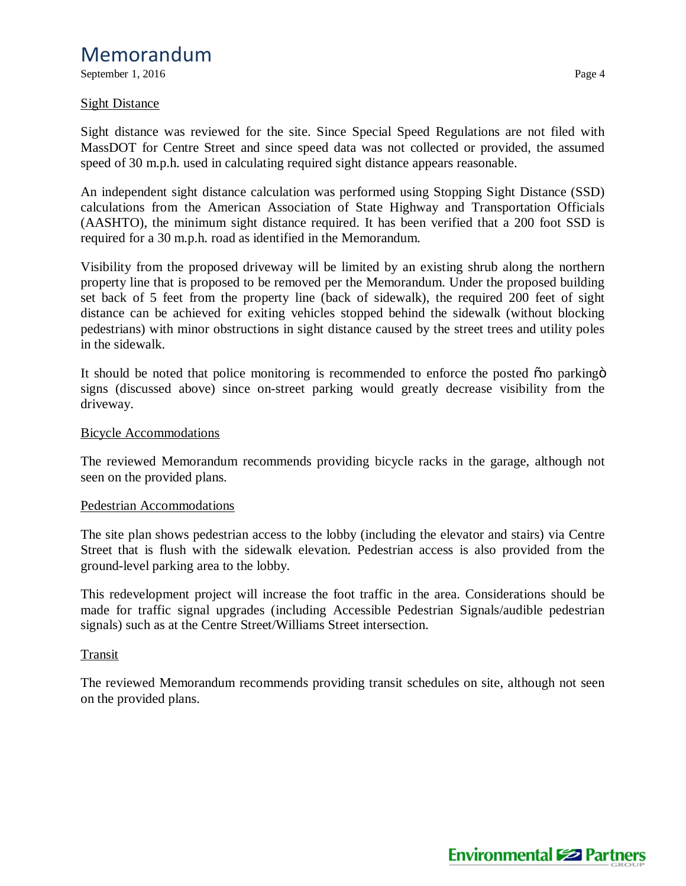September 1, 2016 Page 4

### Sight Distance

Sight distance was reviewed for the site. Since Special Speed Regulations are not filed with MassDOT for Centre Street and since speed data was not collected or provided, the assumed speed of 30 m.p.h. used in calculating required sight distance appears reasonable.

An independent sight distance calculation was performed using Stopping Sight Distance (SSD) calculations from the American Association of State Highway and Transportation Officials (AASHTO), the minimum sight distance required. It has been verified that a 200 foot SSD is required for a 30 m.p.h. road as identified in the Memorandum.

Visibility from the proposed driveway will be limited by an existing shrub along the northern property line that is proposed to be removed per the Memorandum. Under the proposed building set back of 5 feet from the property line (back of sidewalk), the required 200 feet of sight distance can be achieved for exiting vehicles stopped behind the sidewalk (without blocking pedestrians) with minor obstructions in sight distance caused by the street trees and utility poles in the sidewalk.

It should be noted that police monitoring is recommended to enforce the posted ono parking of signs (discussed above) since on-street parking would greatly decrease visibility from the driveway.

### Bicycle Accommodations

The reviewed Memorandum recommends providing bicycle racks in the garage, although not seen on the provided plans.

#### Pedestrian Accommodations

The site plan shows pedestrian access to the lobby (including the elevator and stairs) via Centre Street that is flush with the sidewalk elevation. Pedestrian access is also provided from the ground-level parking area to the lobby.

This redevelopment project will increase the foot traffic in the area. Considerations should be made for traffic signal upgrades (including Accessible Pedestrian Signals/audible pedestrian signals) such as at the Centre Street/Williams Street intersection.

### Transit

The reviewed Memorandum recommends providing transit schedules on site, although not seen on the provided plans.